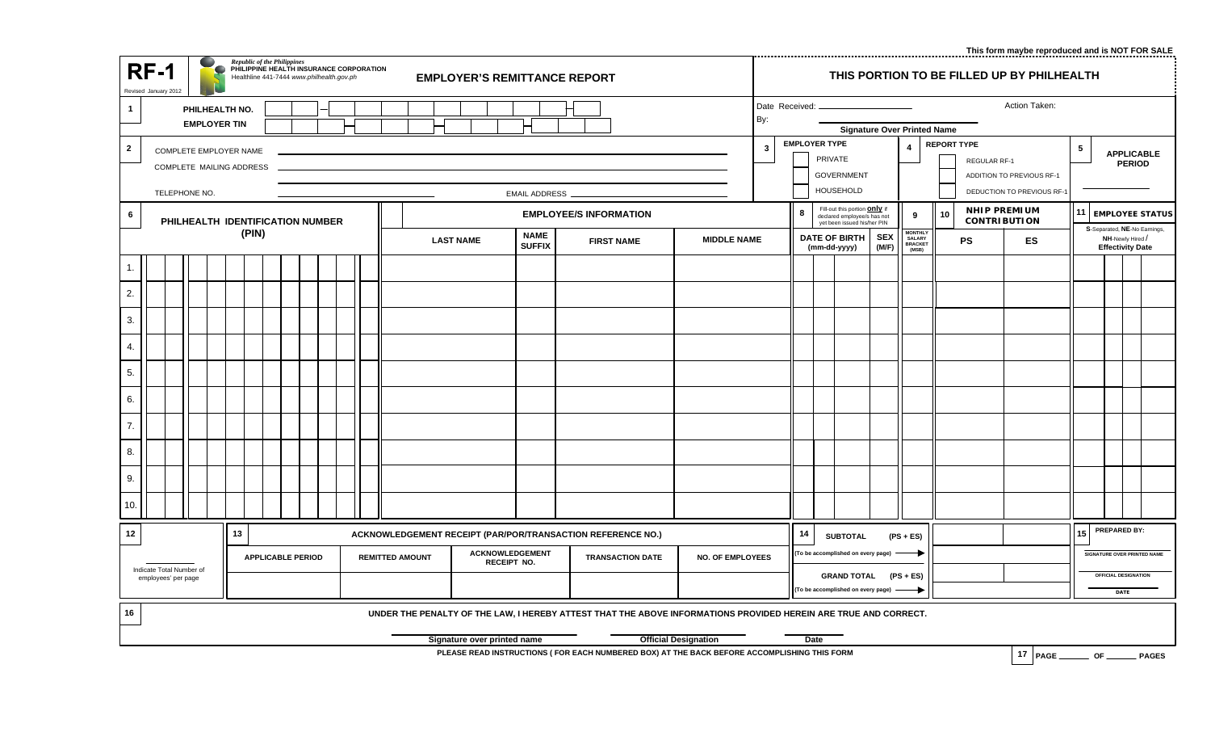**This form maybe reproduced and is NOT FOR SALE**

|                                                                                     | <b>Republic of the Philippines</b><br><b>RF-1</b><br>PHILIPPINE HEALTH INSURANCE CORPORATION<br><b>EMPLOYER'S REMITTANCE REPORT</b><br>Healthline 441-7444 www.philhealth.gov.ph<br>Revised January 2012 |  |  |                          |  |                 |                                                  |  | THIS PORTION TO BE FILLED UP BY PHILHEALTH |                              |                         |                                                                                |  |                         |                                                                                            |                                                             |                                                                         |                                                                                               |                               |                                                  |    |                                                                                                                 |  |                                                                                                               |                                     |  |    |                                            |  |                      |  |                                |  |  |  |       |
|-------------------------------------------------------------------------------------|----------------------------------------------------------------------------------------------------------------------------------------------------------------------------------------------------------|--|--|--------------------------|--|-----------------|--------------------------------------------------|--|--------------------------------------------|------------------------------|-------------------------|--------------------------------------------------------------------------------|--|-------------------------|--------------------------------------------------------------------------------------------|-------------------------------------------------------------|-------------------------------------------------------------------------|-----------------------------------------------------------------------------------------------|-------------------------------|--------------------------------------------------|----|-----------------------------------------------------------------------------------------------------------------|--|---------------------------------------------------------------------------------------------------------------|-------------------------------------|--|----|--------------------------------------------|--|----------------------|--|--------------------------------|--|--|--|-------|
| $\mathbf{1}$                                                                        | PHILHEALTH NO.<br><b>EMPLOYER TIN</b>                                                                                                                                                                    |  |  |                          |  |                 |                                                  |  |                                            |                              |                         | Action Taken:<br>Date Received: -<br>By:<br><b>Signature Over Printed Name</b> |  |                         |                                                                                            |                                                             |                                                                         |                                                                                               |                               |                                                  |    |                                                                                                                 |  |                                                                                                               |                                     |  |    |                                            |  |                      |  |                                |  |  |  |       |
| $\mathbf{2}$<br>COMPLETE EMPLOYER NAME<br>COMPLETE MAILING ADDRESS<br>TELEPHONE NO. |                                                                                                                                                                                                          |  |  |                          |  | EMAIL ADDRESS _ |                                                  |  |                                            |                              |                         |                                                                                |  | $\overline{\mathbf{3}}$ | <b>EMPLOYER TYPE</b><br>$\overline{4}$<br>PRIVATE<br><b>GOVERNMENT</b><br><b>HOUSEHOLD</b> |                                                             |                                                                         | <b>REPORT TYPE</b><br>REGULAR RF-1<br>ADDITION TO PREVIOUS RF-1<br>DEDUCTION TO PREVIOUS RF-1 |                               | $\sqrt{5}$<br><b>APPLICABLE</b><br><b>PERIOD</b> |    |                                                                                                                 |  |                                                                                                               |                                     |  |    |                                            |  |                      |  |                                |  |  |  |       |
| 6                                                                                   |                                                                                                                                                                                                          |  |  |                          |  |                 |                                                  |  |                                            |                              |                         |                                                                                |  |                         |                                                                                            |                                                             |                                                                         |                                                                                               | <b>EMPLOYEE/S INFORMATION</b> |                                                  |    |                                                                                                                 |  | Fill-out this portion <b>Only</b> if<br>-8<br>9<br>declared employee/s has not<br>yet been issued his/her PIN |                                     |  | 10 | <b>NHIP PREMIUM</b><br><b>CONTRIBUTION</b> |  | 11   EMPLOYEE STATUS |  |                                |  |  |  |       |
|                                                                                     | PHILHEALTH IDENTIFICATION NUMBER<br>(PIN)                                                                                                                                                                |  |  |                          |  |                 | <b>LAST NAME</b>                                 |  |                                            | <b>NAME</b><br><b>SUFFIX</b> |                         | <b>MIDDLE NAME</b><br><b>FIRST NAME</b>                                        |  |                         |                                                                                            | <b>SEX</b><br><b>DATE OF BIRTH</b><br>(M/F)<br>(mm-dd-yyyy) |                                                                         | MONTHLY<br>SALARY<br>BRACKET<br>(MSB)                                                         |                               | <b>PS</b>                                        | ES | S-Separated, NE-No Earnings,<br>NH-Newly Hired /<br><b>Effectivity Date</b>                                     |  |                                                                                                               |                                     |  |    |                                            |  |                      |  |                                |  |  |  |       |
| 1.                                                                                  |                                                                                                                                                                                                          |  |  |                          |  |                 |                                                  |  |                                            |                              |                         |                                                                                |  |                         |                                                                                            |                                                             |                                                                         |                                                                                               |                               |                                                  |    |                                                                                                                 |  |                                                                                                               |                                     |  |    |                                            |  |                      |  |                                |  |  |  |       |
| 2.                                                                                  |                                                                                                                                                                                                          |  |  |                          |  |                 |                                                  |  |                                            |                              |                         |                                                                                |  |                         |                                                                                            |                                                             |                                                                         |                                                                                               |                               |                                                  |    |                                                                                                                 |  |                                                                                                               |                                     |  |    |                                            |  |                      |  |                                |  |  |  |       |
| 3.                                                                                  |                                                                                                                                                                                                          |  |  |                          |  |                 |                                                  |  |                                            |                              |                         |                                                                                |  |                         |                                                                                            |                                                             |                                                                         |                                                                                               |                               |                                                  |    |                                                                                                                 |  |                                                                                                               |                                     |  |    |                                            |  |                      |  |                                |  |  |  |       |
| 4.                                                                                  |                                                                                                                                                                                                          |  |  |                          |  |                 |                                                  |  |                                            |                              |                         |                                                                                |  |                         |                                                                                            |                                                             |                                                                         |                                                                                               |                               |                                                  |    |                                                                                                                 |  |                                                                                                               |                                     |  |    |                                            |  |                      |  |                                |  |  |  |       |
| 5.                                                                                  |                                                                                                                                                                                                          |  |  |                          |  |                 |                                                  |  |                                            |                              |                         |                                                                                |  |                         |                                                                                            |                                                             |                                                                         |                                                                                               |                               |                                                  |    |                                                                                                                 |  |                                                                                                               |                                     |  |    |                                            |  |                      |  |                                |  |  |  |       |
| 6.                                                                                  |                                                                                                                                                                                                          |  |  |                          |  |                 |                                                  |  |                                            |                              |                         |                                                                                |  |                         |                                                                                            |                                                             |                                                                         |                                                                                               |                               |                                                  |    |                                                                                                                 |  |                                                                                                               |                                     |  |    |                                            |  |                      |  |                                |  |  |  |       |
| 7.                                                                                  |                                                                                                                                                                                                          |  |  |                          |  |                 |                                                  |  |                                            |                              |                         |                                                                                |  |                         |                                                                                            |                                                             |                                                                         |                                                                                               |                               |                                                  |    |                                                                                                                 |  |                                                                                                               |                                     |  |    |                                            |  |                      |  |                                |  |  |  |       |
| 8.                                                                                  |                                                                                                                                                                                                          |  |  |                          |  |                 |                                                  |  |                                            |                              |                         |                                                                                |  |                         |                                                                                            |                                                             |                                                                         |                                                                                               |                               |                                                  |    |                                                                                                                 |  |                                                                                                               |                                     |  |    |                                            |  |                      |  |                                |  |  |  |       |
| 9.                                                                                  |                                                                                                                                                                                                          |  |  |                          |  |                 |                                                  |  |                                            |                              |                         |                                                                                |  |                         |                                                                                            |                                                             |                                                                         |                                                                                               |                               |                                                  |    |                                                                                                                 |  |                                                                                                               |                                     |  |    |                                            |  |                      |  |                                |  |  |  |       |
| 10.                                                                                 |                                                                                                                                                                                                          |  |  |                          |  |                 |                                                  |  |                                            |                              |                         |                                                                                |  |                         |                                                                                            |                                                             |                                                                         |                                                                                               |                               |                                                  |    |                                                                                                                 |  |                                                                                                               |                                     |  |    |                                            |  |                      |  |                                |  |  |  |       |
| 12                                                                                  | 13<br>14<br>ACKNOWLEDGEMENT RECEIPT (PAR/POR/TRANSACTION REFERENCE NO.)<br><b>SUBTOTAL</b><br>$(PS + ES)$                                                                                                |  |  |                          |  |                 |                                                  |  |                                            | 15                           | PREPARED BY:            |                                                                                |  |                         |                                                                                            |                                                             |                                                                         |                                                                                               |                               |                                                  |    |                                                                                                                 |  |                                                                                                               |                                     |  |    |                                            |  |                      |  |                                |  |  |  |       |
|                                                                                     | Indicate Total Number of<br>employees' per page                                                                                                                                                          |  |  | <b>APPLICABLE PERIOD</b> |  |                 | <b>ACKNOWLEDGEMENT</b><br><b>REMITTED AMOUNT</b> |  |                                            | RECEIPT NO.                  | <b>TRANSACTION DATE</b> |                                                                                |  | <b>NO. OF EMPLOYEES</b> |                                                                                            | (To be accomplished on every page) -                        |                                                                         |                                                                                               |                               |                                                  |    |                                                                                                                 |  |                                                                                                               | SIGNATURE OVER PRINTED NAME         |  |    |                                            |  |                      |  |                                |  |  |  |       |
|                                                                                     |                                                                                                                                                                                                          |  |  |                          |  |                 |                                                  |  |                                            |                              |                         |                                                                                |  |                         |                                                                                            |                                                             | <b>GRAND TOTAL</b><br>$(PS + ES)$<br>(To be accomplished on every page) |                                                                                               |                               |                                                  |    |                                                                                                                 |  |                                                                                                               | <b>OFFICIAL DESIGNATION</b><br>DATE |  |    |                                            |  |                      |  |                                |  |  |  |       |
| 16                                                                                  |                                                                                                                                                                                                          |  |  |                          |  |                 |                                                  |  |                                            |                              |                         |                                                                                |  |                         |                                                                                            |                                                             |                                                                         |                                                                                               |                               |                                                  |    | UNDER THE PENALTY OF THE LAW, I HEREBY ATTEST THAT THE ABOVE INFORMATIONS PROVIDED HEREIN ARE TRUE AND CORRECT. |  |                                                                                                               |                                     |  |    |                                            |  |                      |  |                                |  |  |  |       |
|                                                                                     | Date<br>Signature over printed name<br><b>Official Designation</b>                                                                                                                                       |  |  |                          |  |                 |                                                  |  |                                            |                              |                         |                                                                                |  |                         |                                                                                            |                                                             |                                                                         |                                                                                               |                               |                                                  |    |                                                                                                                 |  |                                                                                                               |                                     |  |    |                                            |  |                      |  |                                |  |  |  |       |
|                                                                                     |                                                                                                                                                                                                          |  |  |                          |  |                 |                                                  |  |                                            |                              |                         |                                                                                |  |                         |                                                                                            |                                                             |                                                                         |                                                                                               |                               |                                                  |    | PLEASE READ INSTRUCTIONS ( FOR EACH NUMBERED BOX) AT THE BACK BEFORE ACCOMPLISHING THIS FORM                    |  |                                                                                                               |                                     |  |    |                                            |  |                      |  | 17   PAGE __________ OF ______ |  |  |  | PAGES |